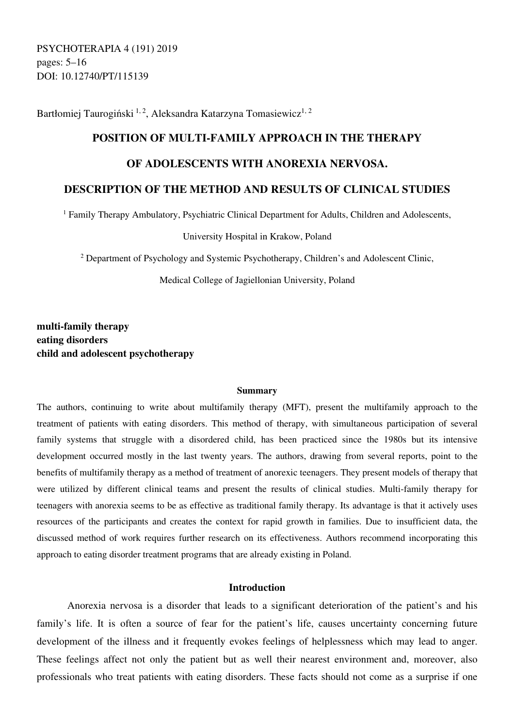PSYCHOTERAPIA 4 (191) 2019 pages: 5–16 DOI: 10.12740/PT/115139

Bartłomiej Taurogiński<sup>1, 2</sup>, Aleksandra Katarzyna Tomasiewicz<sup>1, 2</sup>

# **POSITION OF MULTI-FAMILY APPROACH IN THE THERAPY**

# **OF ADOLESCENTS WITH ANOREXIA NERVOSA.**

# **DESCRIPTION OF THE METHOD AND RESULTS OF CLINICAL STUDIES**

<sup>1</sup> Family Therapy Ambulatory, Psychiatric Clinical Department for Adults, Children and Adolescents,

University Hospital in Krakow, Poland

<sup>2</sup> Department of Psychology and Systemic Psychotherapy, Children's and Adolescent Clinic,

Medical College of Jagiellonian University, Poland

**multi-family therapy eating disorders child and adolescent psychotherapy** 

#### **Summary**

The authors, continuing to write about multifamily therapy (MFT), present the multifamily approach to the treatment of patients with eating disorders. This method of therapy, with simultaneous participation of several family systems that struggle with a disordered child, has been practiced since the 1980s but its intensive development occurred mostly in the last twenty years. The authors, drawing from several reports, point to the benefits of multifamily therapy as a method of treatment of anorexic teenagers. They present models of therapy that were utilized by different clinical teams and present the results of clinical studies. Multi-family therapy for teenagers with anorexia seems to be as effective as traditional family therapy. Its advantage is that it actively uses resources of the participants and creates the context for rapid growth in families. Due to insufficient data, the discussed method of work requires further research on its effectiveness. Authors recommend incorporating this approach to eating disorder treatment programs that are already existing in Poland.

# **Introduction**

Anorexia nervosa is a disorder that leads to a significant deterioration of the patient's and his family's life. It is often a source of fear for the patient's life, causes uncertainty concerning future development of the illness and it frequently evokes feelings of helplessness which may lead to anger. These feelings affect not only the patient but as well their nearest environment and, moreover, also professionals who treat patients with eating disorders. These facts should not come as a surprise if one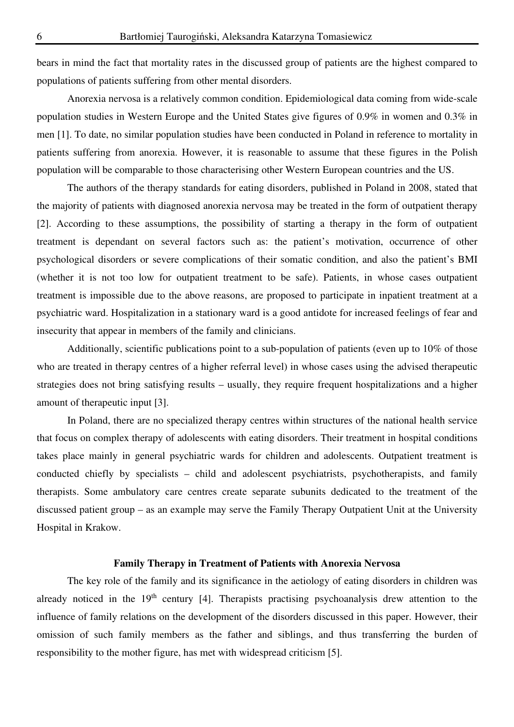bears in mind the fact that mortality rates in the discussed group of patients are the highest compared to populations of patients suffering from other mental disorders.

Anorexia nervosa is a relatively common condition. Epidemiological data coming from wide-scale population studies in Western Europe and the United States give figures of 0.9% in women and 0.3% in men [1]. To date, no similar population studies have been conducted in Poland in reference to mortality in patients suffering from anorexia. However, it is reasonable to assume that these figures in the Polish population will be comparable to those characterising other Western European countries and the US.

The authors of the therapy standards for eating disorders, published in Poland in 2008, stated that the majority of patients with diagnosed anorexia nervosa may be treated in the form of outpatient therapy [2]. According to these assumptions, the possibility of starting a therapy in the form of outpatient treatment is dependant on several factors such as: the patient's motivation, occurrence of other psychological disorders or severe complications of their somatic condition, and also the patient's BMI (whether it is not too low for outpatient treatment to be safe). Patients, in whose cases outpatient treatment is impossible due to the above reasons, are proposed to participate in inpatient treatment at a psychiatric ward. Hospitalization in a stationary ward is a good antidote for increased feelings of fear and insecurity that appear in members of the family and clinicians.

Additionally, scientific publications point to a sub-population of patients (even up to 10% of those who are treated in therapy centres of a higher referral level) in whose cases using the advised therapeutic strategies does not bring satisfying results – usually, they require frequent hospitalizations and a higher amount of therapeutic input [3].

In Poland, there are no specialized therapy centres within structures of the national health service that focus on complex therapy of adolescents with eating disorders. Their treatment in hospital conditions takes place mainly in general psychiatric wards for children and adolescents. Outpatient treatment is conducted chiefly by specialists – child and adolescent psychiatrists, psychotherapists, and family therapists. Some ambulatory care centres create separate subunits dedicated to the treatment of the discussed patient group – as an example may serve the Family Therapy Outpatient Unit at the University Hospital in Krakow.

# **Family Therapy in Treatment of Patients with Anorexia Nervosa**

The key role of the family and its significance in the aetiology of eating disorders in children was already noticed in the  $19<sup>th</sup>$  century [4]. Therapists practising psychoanalysis drew attention to the influence of family relations on the development of the disorders discussed in this paper. However, their omission of such family members as the father and siblings, and thus transferring the burden of responsibility to the mother figure, has met with widespread criticism [5].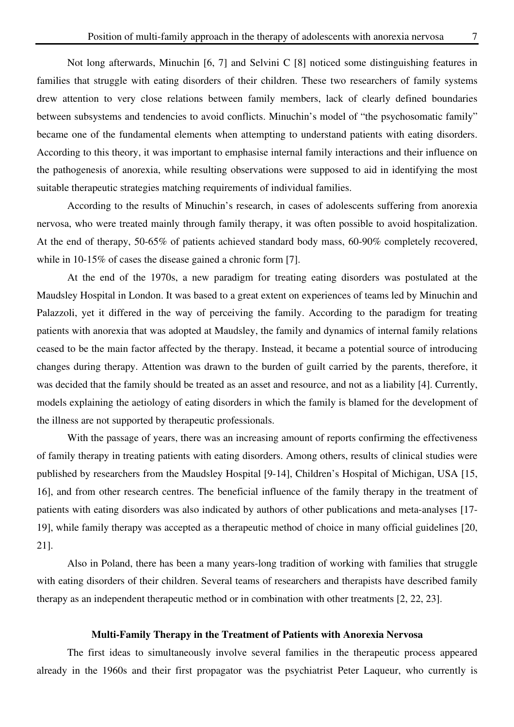Not long afterwards, Minuchin [6, 7] and Selvini C [8] noticed some distinguishing features in families that struggle with eating disorders of their children. These two researchers of family systems drew attention to very close relations between family members, lack of clearly defined boundaries between subsystems and tendencies to avoid conflicts. Minuchin's model of "the psychosomatic family" became one of the fundamental elements when attempting to understand patients with eating disorders. According to this theory, it was important to emphasise internal family interactions and their influence on the pathogenesis of anorexia, while resulting observations were supposed to aid in identifying the most suitable therapeutic strategies matching requirements of individual families.

According to the results of Minuchin's research, in cases of adolescents suffering from anorexia nervosa, who were treated mainly through family therapy, it was often possible to avoid hospitalization. At the end of therapy, 50-65% of patients achieved standard body mass, 60-90% completely recovered, while in 10-15% of cases the disease gained a chronic form [7].

At the end of the 1970s, a new paradigm for treating eating disorders was postulated at the Maudsley Hospital in London. It was based to a great extent on experiences of teams led by Minuchin and Palazzoli, yet it differed in the way of perceiving the family. According to the paradigm for treating patients with anorexia that was adopted at Maudsley, the family and dynamics of internal family relations ceased to be the main factor affected by the therapy. Instead, it became a potential source of introducing changes during therapy. Attention was drawn to the burden of guilt carried by the parents, therefore, it was decided that the family should be treated as an asset and resource, and not as a liability [4]. Currently, models explaining the aetiology of eating disorders in which the family is blamed for the development of the illness are not supported by therapeutic professionals.

With the passage of years, there was an increasing amount of reports confirming the effectiveness of family therapy in treating patients with eating disorders. Among others, results of clinical studies were published by researchers from the Maudsley Hospital [9-14], Children's Hospital of Michigan, USA [15, 16], and from other research centres. The beneficial influence of the family therapy in the treatment of patients with eating disorders was also indicated by authors of other publications and meta-analyses [17- 19], while family therapy was accepted as a therapeutic method of choice in many official guidelines [20, 21].

Also in Poland, there has been a many years-long tradition of working with families that struggle with eating disorders of their children. Several teams of researchers and therapists have described family therapy as an independent therapeutic method or in combination with other treatments [2, 22, 23].

#### **Multi-Family Therapy in the Treatment of Patients with Anorexia Nervosa**

The first ideas to simultaneously involve several families in the therapeutic process appeared already in the 1960s and their first propagator was the psychiatrist Peter Laqueur, who currently is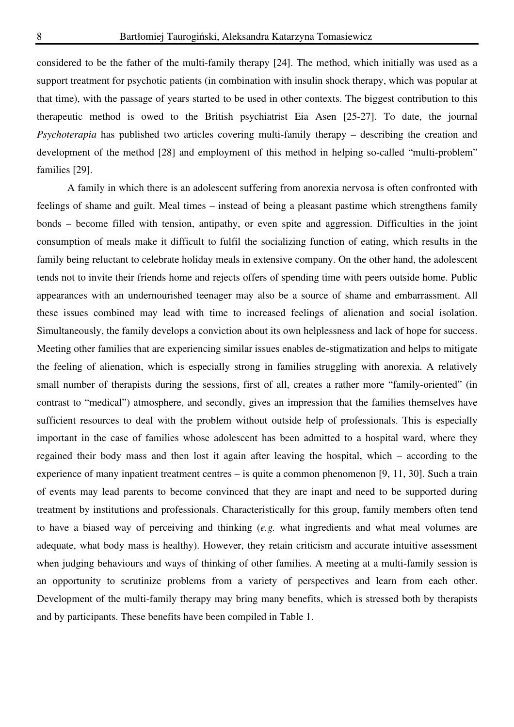considered to be the father of the multi-family therapy [24]. The method, which initially was used as a support treatment for psychotic patients (in combination with insulin shock therapy, which was popular at that time), with the passage of years started to be used in other contexts. The biggest contribution to this therapeutic method is owed to the British psychiatrist Eia Asen [25-27]. To date, the journal *Psychoterapia* has published two articles covering multi-family therapy – describing the creation and development of the method [28] and employment of this method in helping so-called "multi-problem" families [29].

A family in which there is an adolescent suffering from anorexia nervosa is often confronted with feelings of shame and guilt. Meal times – instead of being a pleasant pastime which strengthens family bonds – become filled with tension, antipathy, or even spite and aggression. Difficulties in the joint consumption of meals make it difficult to fulfil the socializing function of eating, which results in the family being reluctant to celebrate holiday meals in extensive company. On the other hand, the adolescent tends not to invite their friends home and rejects offers of spending time with peers outside home. Public appearances with an undernourished teenager may also be a source of shame and embarrassment. All these issues combined may lead with time to increased feelings of alienation and social isolation. Simultaneously, the family develops a conviction about its own helplessness and lack of hope for success. Meeting other families that are experiencing similar issues enables de-stigmatization and helps to mitigate the feeling of alienation, which is especially strong in families struggling with anorexia. A relatively small number of therapists during the sessions, first of all, creates a rather more "family-oriented" (in contrast to "medical") atmosphere, and secondly, gives an impression that the families themselves have sufficient resources to deal with the problem without outside help of professionals. This is especially important in the case of families whose adolescent has been admitted to a hospital ward, where they regained their body mass and then lost it again after leaving the hospital, which – according to the experience of many inpatient treatment centres – is quite a common phenomenon [9, 11, 30]. Such a train of events may lead parents to become convinced that they are inapt and need to be supported during treatment by institutions and professionals. Characteristically for this group, family members often tend to have a biased way of perceiving and thinking (*e.g.* what ingredients and what meal volumes are adequate, what body mass is healthy). However, they retain criticism and accurate intuitive assessment when judging behaviours and ways of thinking of other families. A meeting at a multi-family session is an opportunity to scrutinize problems from a variety of perspectives and learn from each other. Development of the multi-family therapy may bring many benefits, which is stressed both by therapists and by participants. These benefits have been compiled in Table 1.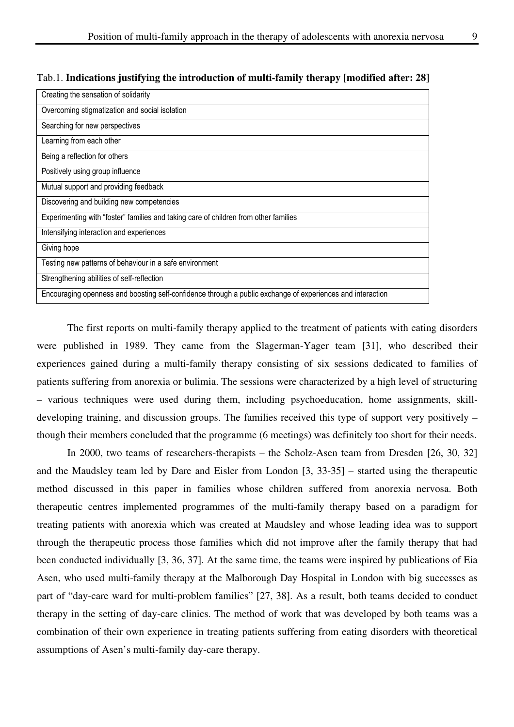|  |  |  | Tab.1. Indications justifying the introduction of multi-family therapy [modified after: 28] |  |
|--|--|--|---------------------------------------------------------------------------------------------|--|
|  |  |  |                                                                                             |  |

| Creating the sensation of solidarity                                                                       |  |  |  |
|------------------------------------------------------------------------------------------------------------|--|--|--|
| Overcoming stigmatization and social isolation                                                             |  |  |  |
| Searching for new perspectives                                                                             |  |  |  |
| Learning from each other                                                                                   |  |  |  |
| Being a reflection for others                                                                              |  |  |  |
| Positively using group influence                                                                           |  |  |  |
| Mutual support and providing feedback                                                                      |  |  |  |
| Discovering and building new competencies                                                                  |  |  |  |
| Experimenting with "foster" families and taking care of children from other families                       |  |  |  |
| Intensifying interaction and experiences                                                                   |  |  |  |
| Giving hope                                                                                                |  |  |  |
| Testing new patterns of behaviour in a safe environment                                                    |  |  |  |
| Strengthening abilities of self-reflection                                                                 |  |  |  |
| Encouraging openness and boosting self-confidence through a public exchange of experiences and interaction |  |  |  |

The first reports on multi-family therapy applied to the treatment of patients with eating disorders were published in 1989. They came from the Slagerman-Yager team [31], who described their experiences gained during a multi-family therapy consisting of six sessions dedicated to families of patients suffering from anorexia or bulimia. The sessions were characterized by a high level of structuring – various techniques were used during them, including psychoeducation, home assignments, skilldeveloping training, and discussion groups. The families received this type of support very positively – though their members concluded that the programme (6 meetings) was definitely too short for their needs.

In 2000, two teams of researchers-therapists – the Scholz-Asen team from Dresden [26, 30, 32] and the Maudsley team led by Dare and Eisler from London [3, 33-35] – started using the therapeutic method discussed in this paper in families whose children suffered from anorexia nervosa. Both therapeutic centres implemented programmes of the multi-family therapy based on a paradigm for treating patients with anorexia which was created at Maudsley and whose leading idea was to support through the therapeutic process those families which did not improve after the family therapy that had been conducted individually [3, 36, 37]. At the same time, the teams were inspired by publications of Eia Asen, who used multi-family therapy at the Malborough Day Hospital in London with big successes as part of "day-care ward for multi-problem families" [27, 38]. As a result, both teams decided to conduct therapy in the setting of day-care clinics. The method of work that was developed by both teams was a combination of their own experience in treating patients suffering from eating disorders with theoretical assumptions of Asen's multi-family day-care therapy.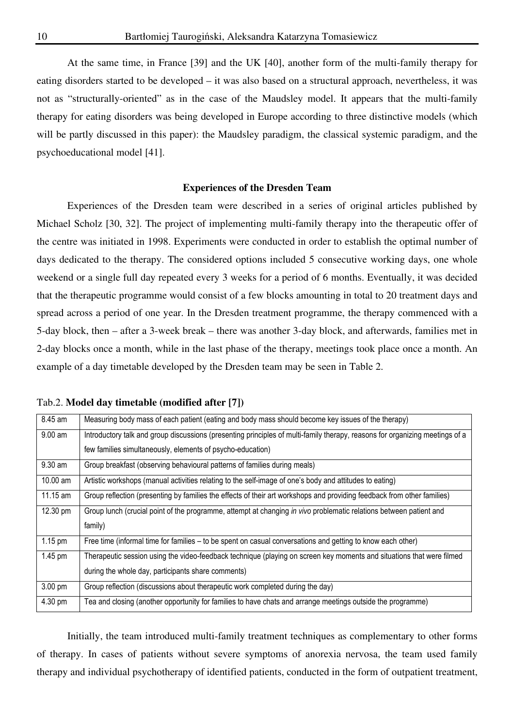At the same time, in France [39] and the UK [40], another form of the multi-family therapy for eating disorders started to be developed – it was also based on a structural approach, nevertheless, it was not as "structurally-oriented" as in the case of the Maudsley model. It appears that the multi-family therapy for eating disorders was being developed in Europe according to three distinctive models (which will be partly discussed in this paper): the Maudsley paradigm, the classical systemic paradigm, and the psychoeducational model [41].

#### **Experiences of the Dresden Team**

Experiences of the Dresden team were described in a series of original articles published by Michael Scholz [30, 32]. The project of implementing multi-family therapy into the therapeutic offer of the centre was initiated in 1998. Experiments were conducted in order to establish the optimal number of days dedicated to the therapy. The considered options included 5 consecutive working days, one whole weekend or a single full day repeated every 3 weeks for a period of 6 months. Eventually, it was decided that the therapeutic programme would consist of a few blocks amounting in total to 20 treatment days and spread across a period of one year. In the Dresden treatment programme, the therapy commenced with a 5-day block, then – after a 3-week break – there was another 3-day block, and afterwards, families met in 2-day blocks once a month, while in the last phase of the therapy, meetings took place once a month. An example of a day timetable developed by the Dresden team may be seen in Table 2.

|  |  | Tab.2. Model day timetable (modified after [7]) |  |
|--|--|-------------------------------------------------|--|
|--|--|-------------------------------------------------|--|

| 8.45 am           | Measuring body mass of each patient (eating and body mass should become key issues of the therapy)                           |  |  |  |
|-------------------|------------------------------------------------------------------------------------------------------------------------------|--|--|--|
| $9.00$ am         | Introductory talk and group discussions (presenting principles of multi-family therapy, reasons for organizing meetings of a |  |  |  |
|                   | few families simultaneously, elements of psycho-education)                                                                   |  |  |  |
| $9.30$ am         | Group breakfast (observing behavioural patterns of families during meals)                                                    |  |  |  |
| 10.00 am          | Artistic workshops (manual activities relating to the self-image of one's body and attitudes to eating)                      |  |  |  |
| 11.15 am          | Group reflection (presenting by families the effects of their art workshops and providing feedback from other families)      |  |  |  |
| 12.30 pm          | Group lunch (crucial point of the programme, attempt at changing in vivo problematic relations between patient and           |  |  |  |
|                   | family)                                                                                                                      |  |  |  |
| $1.15 \text{ pm}$ | Free time (informal time for families – to be spent on casual conversations and getting to know each other)                  |  |  |  |
| 1.45 pm           | Therapeutic session using the video-feedback technique (playing on screen key moments and situations that were filmed        |  |  |  |
|                   | during the whole day, participants share comments)                                                                           |  |  |  |
| 3.00 pm           | Group reflection (discussions about therapeutic work completed during the day)                                               |  |  |  |
| 4.30 pm           | Tea and closing (another opportunity for families to have chats and arrange meetings outside the programme)                  |  |  |  |

Initially, the team introduced multi-family treatment techniques as complementary to other forms of therapy. In cases of patients without severe symptoms of anorexia nervosa, the team used family therapy and individual psychotherapy of identified patients, conducted in the form of outpatient treatment,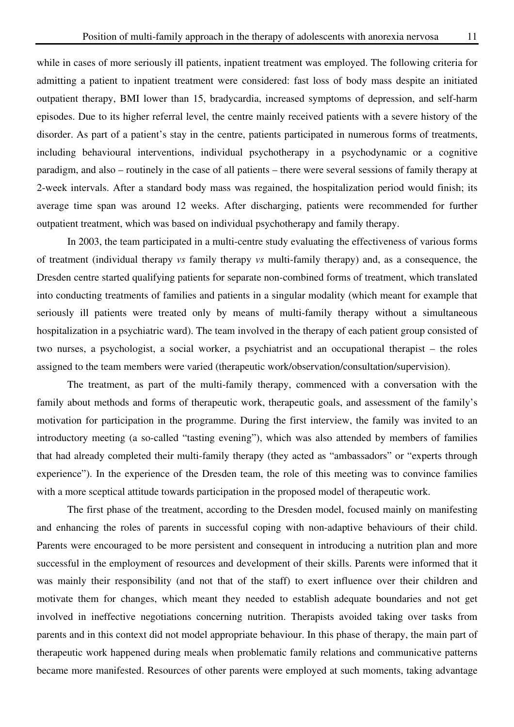while in cases of more seriously ill patients, inpatient treatment was employed. The following criteria for admitting a patient to inpatient treatment were considered: fast loss of body mass despite an initiated outpatient therapy, BMI lower than 15, bradycardia, increased symptoms of depression, and self-harm episodes. Due to its higher referral level, the centre mainly received patients with a severe history of the disorder. As part of a patient's stay in the centre, patients participated in numerous forms of treatments, including behavioural interventions, individual psychotherapy in a psychodynamic or a cognitive paradigm, and also – routinely in the case of all patients – there were several sessions of family therapy at 2-week intervals. After a standard body mass was regained, the hospitalization period would finish; its average time span was around 12 weeks. After discharging, patients were recommended for further outpatient treatment, which was based on individual psychotherapy and family therapy.

In 2003, the team participated in a multi-centre study evaluating the effectiveness of various forms of treatment (individual therapy *vs* family therapy *vs* multi-family therapy) and, as a consequence, the Dresden centre started qualifying patients for separate non-combined forms of treatment, which translated into conducting treatments of families and patients in a singular modality (which meant for example that seriously ill patients were treated only by means of multi-family therapy without a simultaneous hospitalization in a psychiatric ward). The team involved in the therapy of each patient group consisted of two nurses, a psychologist, a social worker, a psychiatrist and an occupational therapist – the roles assigned to the team members were varied (therapeutic work/observation/consultation/supervision).

The treatment, as part of the multi-family therapy, commenced with a conversation with the family about methods and forms of therapeutic work, therapeutic goals, and assessment of the family's motivation for participation in the programme. During the first interview, the family was invited to an introductory meeting (a so-called "tasting evening"), which was also attended by members of families that had already completed their multi-family therapy (they acted as "ambassadors" or "experts through experience"). In the experience of the Dresden team, the role of this meeting was to convince families with a more sceptical attitude towards participation in the proposed model of therapeutic work.

The first phase of the treatment, according to the Dresden model, focused mainly on manifesting and enhancing the roles of parents in successful coping with non-adaptive behaviours of their child. Parents were encouraged to be more persistent and consequent in introducing a nutrition plan and more successful in the employment of resources and development of their skills. Parents were informed that it was mainly their responsibility (and not that of the staff) to exert influence over their children and motivate them for changes, which meant they needed to establish adequate boundaries and not get involved in ineffective negotiations concerning nutrition. Therapists avoided taking over tasks from parents and in this context did not model appropriate behaviour. In this phase of therapy, the main part of therapeutic work happened during meals when problematic family relations and communicative patterns became more manifested. Resources of other parents were employed at such moments, taking advantage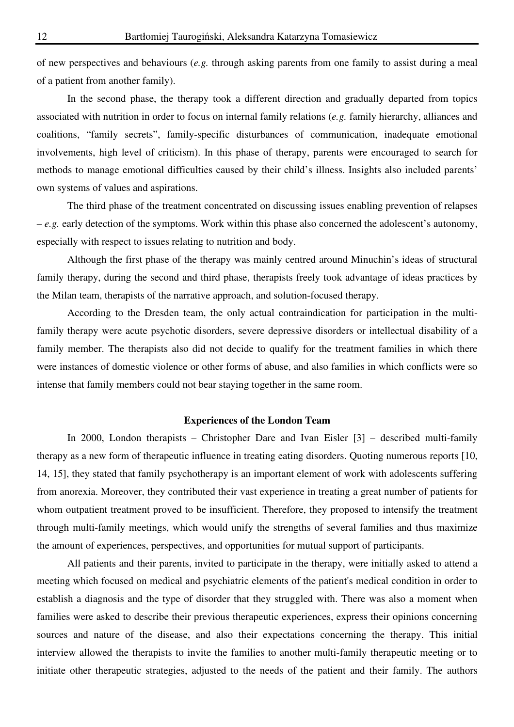of new perspectives and behaviours (*e.g.* through asking parents from one family to assist during a meal of a patient from another family).

In the second phase, the therapy took a different direction and gradually departed from topics associated with nutrition in order to focus on internal family relations (*e.g.* family hierarchy, alliances and coalitions, "family secrets", family-specific disturbances of communication, inadequate emotional involvements, high level of criticism). In this phase of therapy, parents were encouraged to search for methods to manage emotional difficulties caused by their child's illness. Insights also included parents' own systems of values and aspirations.

The third phase of the treatment concentrated on discussing issues enabling prevention of relapses – *e.g.* early detection of the symptoms. Work within this phase also concerned the adolescent's autonomy, especially with respect to issues relating to nutrition and body.

Although the first phase of the therapy was mainly centred around Minuchin's ideas of structural family therapy, during the second and third phase, therapists freely took advantage of ideas practices by the Milan team, therapists of the narrative approach, and solution-focused therapy.

According to the Dresden team, the only actual contraindication for participation in the multifamily therapy were acute psychotic disorders, severe depressive disorders or intellectual disability of a family member. The therapists also did not decide to qualify for the treatment families in which there were instances of domestic violence or other forms of abuse, and also families in which conflicts were so intense that family members could not bear staying together in the same room.

## **Experiences of the London Team**

In 2000, London therapists – Christopher Dare and Ivan Eisler [3] – described multi-family therapy as a new form of therapeutic influence in treating eating disorders. Quoting numerous reports [10, 14, 15], they stated that family psychotherapy is an important element of work with adolescents suffering from anorexia. Moreover, they contributed their vast experience in treating a great number of patients for whom outpatient treatment proved to be insufficient. Therefore, they proposed to intensify the treatment through multi-family meetings, which would unify the strengths of several families and thus maximize the amount of experiences, perspectives, and opportunities for mutual support of participants.

All patients and their parents, invited to participate in the therapy, were initially asked to attend a meeting which focused on medical and psychiatric elements of the patient's medical condition in order to establish a diagnosis and the type of disorder that they struggled with. There was also a moment when families were asked to describe their previous therapeutic experiences, express their opinions concerning sources and nature of the disease, and also their expectations concerning the therapy. This initial interview allowed the therapists to invite the families to another multi-family therapeutic meeting or to initiate other therapeutic strategies, adjusted to the needs of the patient and their family. The authors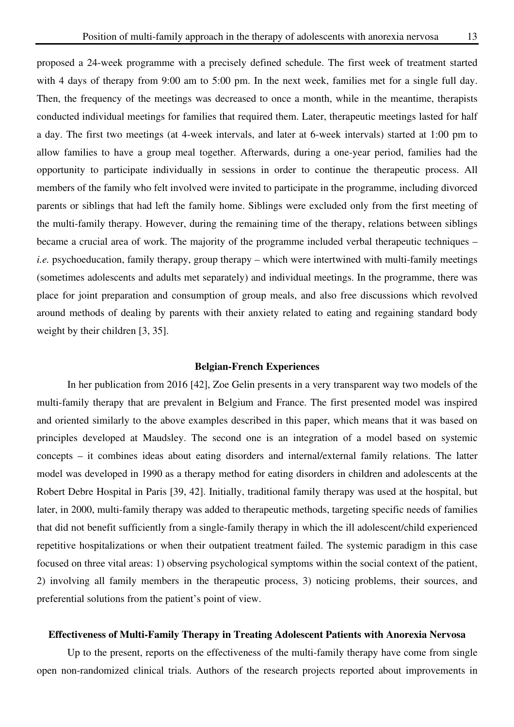proposed a 24-week programme with a precisely defined schedule. The first week of treatment started with 4 days of therapy from 9:00 am to 5:00 pm. In the next week, families met for a single full day. Then, the frequency of the meetings was decreased to once a month, while in the meantime, therapists conducted individual meetings for families that required them. Later, therapeutic meetings lasted for half a day. The first two meetings (at 4-week intervals, and later at 6-week intervals) started at 1:00 pm to allow families to have a group meal together. Afterwards, during a one-year period, families had the opportunity to participate individually in sessions in order to continue the therapeutic process. All members of the family who felt involved were invited to participate in the programme, including divorced parents or siblings that had left the family home. Siblings were excluded only from the first meeting of the multi-family therapy. However, during the remaining time of the therapy, relations between siblings became a crucial area of work. The majority of the programme included verbal therapeutic techniques – *i.e.* psychoeducation, family therapy, group therapy – which were intertwined with multi-family meetings (sometimes adolescents and adults met separately) and individual meetings. In the programme, there was place for joint preparation and consumption of group meals, and also free discussions which revolved around methods of dealing by parents with their anxiety related to eating and regaining standard body weight by their children [3, 35].

# **Belgian-French Experiences**

In her publication from 2016 [42], Zoe Gelin presents in a very transparent way two models of the multi-family therapy that are prevalent in Belgium and France. The first presented model was inspired and oriented similarly to the above examples described in this paper, which means that it was based on principles developed at Maudsley. The second one is an integration of a model based on systemic concepts – it combines ideas about eating disorders and internal/external family relations. The latter model was developed in 1990 as a therapy method for eating disorders in children and adolescents at the Robert Debre Hospital in Paris [39, 42]. Initially, traditional family therapy was used at the hospital, but later, in 2000, multi-family therapy was added to therapeutic methods, targeting specific needs of families that did not benefit sufficiently from a single-family therapy in which the ill adolescent/child experienced repetitive hospitalizations or when their outpatient treatment failed. The systemic paradigm in this case focused on three vital areas: 1) observing psychological symptoms within the social context of the patient, 2) involving all family members in the therapeutic process, 3) noticing problems, their sources, and preferential solutions from the patient's point of view.

# **Effectiveness of Multi-Family Therapy in Treating Adolescent Patients with Anorexia Nervosa**

Up to the present, reports on the effectiveness of the multi-family therapy have come from single open non-randomized clinical trials. Authors of the research projects reported about improvements in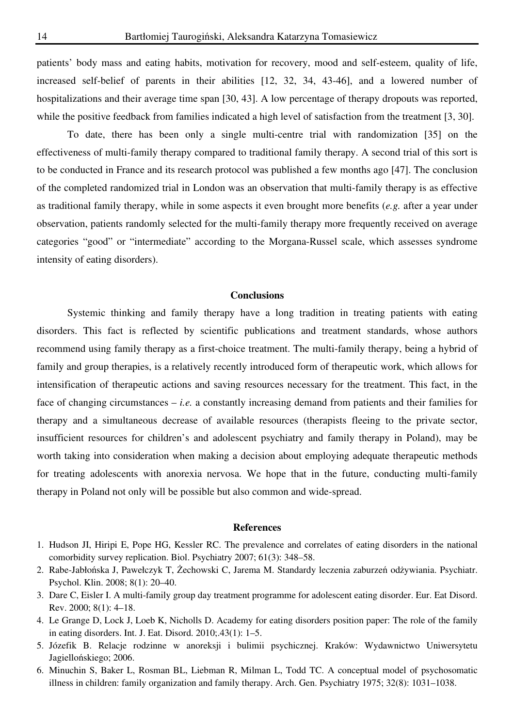patients' body mass and eating habits, motivation for recovery, mood and self-esteem, quality of life, increased self-belief of parents in their abilities [12, 32, 34, 43-46], and a lowered number of hospitalizations and their average time span [30, 43]. A low percentage of therapy dropouts was reported, while the positive feedback from families indicated a high level of satisfaction from the treatment [3, 30].

To date, there has been only a single multi-centre trial with randomization [35] on the effectiveness of multi-family therapy compared to traditional family therapy. A second trial of this sort is to be conducted in France and its research protocol was published a few months ago [47]. The conclusion of the completed randomized trial in London was an observation that multi-family therapy is as effective as traditional family therapy, while in some aspects it even brought more benefits (*e.g.* after a year under observation, patients randomly selected for the multi-family therapy more frequently received on average categories "good" or "intermediate" according to the Morgana-Russel scale, which assesses syndrome intensity of eating disorders).

# **Conclusions**

Systemic thinking and family therapy have a long tradition in treating patients with eating disorders. This fact is reflected by scientific publications and treatment standards, whose authors recommend using family therapy as a first-choice treatment. The multi-family therapy, being a hybrid of family and group therapies, is a relatively recently introduced form of therapeutic work, which allows for intensification of therapeutic actions and saving resources necessary for the treatment. This fact, in the face of changing circumstances  $- i.e.$  a constantly increasing demand from patients and their families for therapy and a simultaneous decrease of available resources (therapists fleeing to the private sector, insufficient resources for children's and adolescent psychiatry and family therapy in Poland), may be worth taking into consideration when making a decision about employing adequate therapeutic methods for treating adolescents with anorexia nervosa. We hope that in the future, conducting multi-family therapy in Poland not only will be possible but also common and wide-spread.

# **References**

- 1. Hudson JI, Hiripi E, Pope HG, Kessler RC. The prevalence and correlates of eating disorders in the national comorbidity survey replication. Biol. Psychiatry 2007; 61(3): 348–58.
- 2. Rabe-Jabłońska J, Pawełczyk T, Żechowski C, Jarema M. Standardy leczenia zaburzeń odżywiania. Psychiatr. Psychol. Klin. 2008; 8(1): 20–40.
- 3. Dare C, Eisler I. A multi-family group day treatment programme for adolescent eating disorder. Eur. Eat Disord. Rev. 2000; 8(1): 4–18.
- 4. Le Grange D, Lock J, Loeb K, Nicholls D. Academy for eating disorders position paper: The role of the family in eating disorders. Int. J. Eat. Disord. 2010;.43(1): 1–5.
- 5. Józefik B. Relacje rodzinne w anoreksji i bulimii psychicznej. Kraków: Wydawnictwo Uniwersytetu Jagiellońskiego; 2006.
- 6. Minuchin S, Baker L, Rosman BL, Liebman R, Milman L, Todd TC. A conceptual model of psychosomatic illness in children: family organization and family therapy. Arch. Gen. Psychiatry 1975; 32(8): 1031–1038.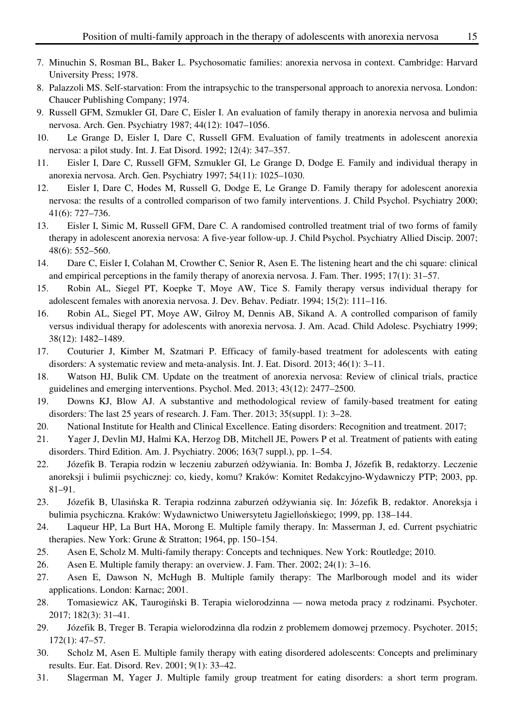- 7. Minuchin S, Rosman BL, Baker L. Psychosomatic families: anorexia nervosa in context. Cambridge: Harvard University Press; 1978.
- 8. Palazzoli MS. Self-starvation: From the intrapsychic to the transpersonal approach to anorexia nervosa. London: Chaucer Publishing Company; 1974.
- 9. Russell GFM, Szmukler GI, Dare C, Eisler I. An evaluation of family therapy in anorexia nervosa and bulimia nervosa. Arch. Gen. Psychiatry 1987; 44(12): 1047–1056.
- 10. Le Grange D, Eisler I, Dare C, Russell GFM. Evaluation of family treatments in adolescent anorexia nervosa: a pilot study. Int. J. Eat Disord. 1992; 12(4): 347–357.
- 11. Eisler I, Dare C, Russell GFM, Szmukler GI, Le Grange D, Dodge E. Family and individual therapy in anorexia nervosa. Arch. Gen. Psychiatry 1997; 54(11): 1025–1030.
- 12. Eisler I, Dare C, Hodes M, Russell G, Dodge E, Le Grange D. Family therapy for adolescent anorexia nervosa: the results of a controlled comparison of two family interventions. J. Child Psychol. Psychiatry 2000; 41(6): 727–736.
- 13. Eisler I, Simic M, Russell GFM, Dare C. A randomised controlled treatment trial of two forms of family therapy in adolescent anorexia nervosa: A five-year follow-up. J. Child Psychol. Psychiatry Allied Discip. 2007; 48(6): 552–560.
- 14. Dare C, Eisler I, Colahan M, Crowther C, Senior R, Asen E. The listening heart and the chi square: clinical and empirical perceptions in the family therapy of anorexia nervosa. J. Fam. Ther. 1995; 17(1): 31–57.
- 15. Robin AL, Siegel PT, Koepke T, Moye AW, Tice S. Family therapy versus individual therapy for adolescent females with anorexia nervosa. J. Dev. Behav. Pediatr. 1994; 15(2): 111–116.
- 16. Robin AL, Siegel PT, Moye AW, Gilroy M, Dennis AB, Sikand A. A controlled comparison of family versus individual therapy for adolescents with anorexia nervosa. J. Am. Acad. Child Adolesc. Psychiatry 1999; 38(12): 1482–1489.
- 17. Couturier J, Kimber M, Szatmari P. Efficacy of family-based treatment for adolescents with eating disorders: A systematic review and meta-analysis. Int. J. Eat. Disord. 2013; 46(1): 3–11.
- 18. Watson HJ, Bulik CM. Update on the treatment of anorexia nervosa: Review of clinical trials, practice guidelines and emerging interventions. Psychol. Med. 2013; 43(12): 2477–2500.
- 19. Downs KJ, Blow AJ. A substantive and methodological review of family-based treatment for eating disorders: The last 25 years of research. J. Fam. Ther. 2013; 35(suppl. 1): 3–28.
- 20. National Institute for Health and Clinical Excellence. Eating disorders: Recognition and treatment. 2017;
- 21. Yager J, Devlin MJ, Halmi KA, Herzog DB, Mitchell JE, Powers P et al. Treatment of patients with eating disorders. Third Edition. Am. J. Psychiatry. 2006; 163(7 suppl.), pp. 1–54.
- 22. Józefik B. Terapia rodzin w leczeniu zaburzeń odżywiania. In: Bomba J, Józefik B, redaktorzy. Leczenie anoreksji i bulimii psychicznej: co, kiedy, komu? Kraków: Komitet Redakcyjno-Wydawniczy PTP; 2003, pp. 81–91.
- 23. Józefik B, Ulasińska R. Terapia rodzinna zaburzeń odżywiania się. In: Józefik B, redaktor. Anoreksja i bulimia psychiczna. Kraków: Wydawnictwo Uniwersytetu Jagiellońskiego; 1999, pp. 138–144.
- 24. Laqueur HP, La Burt HA, Morong E. Multiple family therapy. In: Masserman J, ed. Current psychiatric therapies. New York: Grune & Stratton; 1964, pp. 150–154.
- 25. Asen E, Scholz M. Multi-family therapy: Concepts and techniques. New York: Routledge; 2010.
- 26. Asen E. Multiple family therapy: an overview. J. Fam. Ther. 2002; 24(1): 3–16.
- 27. Asen E, Dawson N, McHugh B. Multiple family therapy: The Marlborough model and its wider applications. London: Karnac; 2001.
- 28. Tomasiewicz AK, Taurogiński B. Terapia wielorodzinna nowa metoda pracy z rodzinami. Psychoter. 2017; 182(3): 31–41.
- 29. Józefik B, Treger B. Terapia wielorodzinna dla rodzin z problemem domowej przemocy. Psychoter. 2015; 172(1): 47–57.
- 30. Scholz M, Asen E. Multiple family therapy with eating disordered adolescents: Concepts and preliminary results. Eur. Eat. Disord. Rev. 2001; 9(1): 33–42.
- 31. Slagerman M, Yager J. Multiple family group treatment for eating disorders: a short term program.